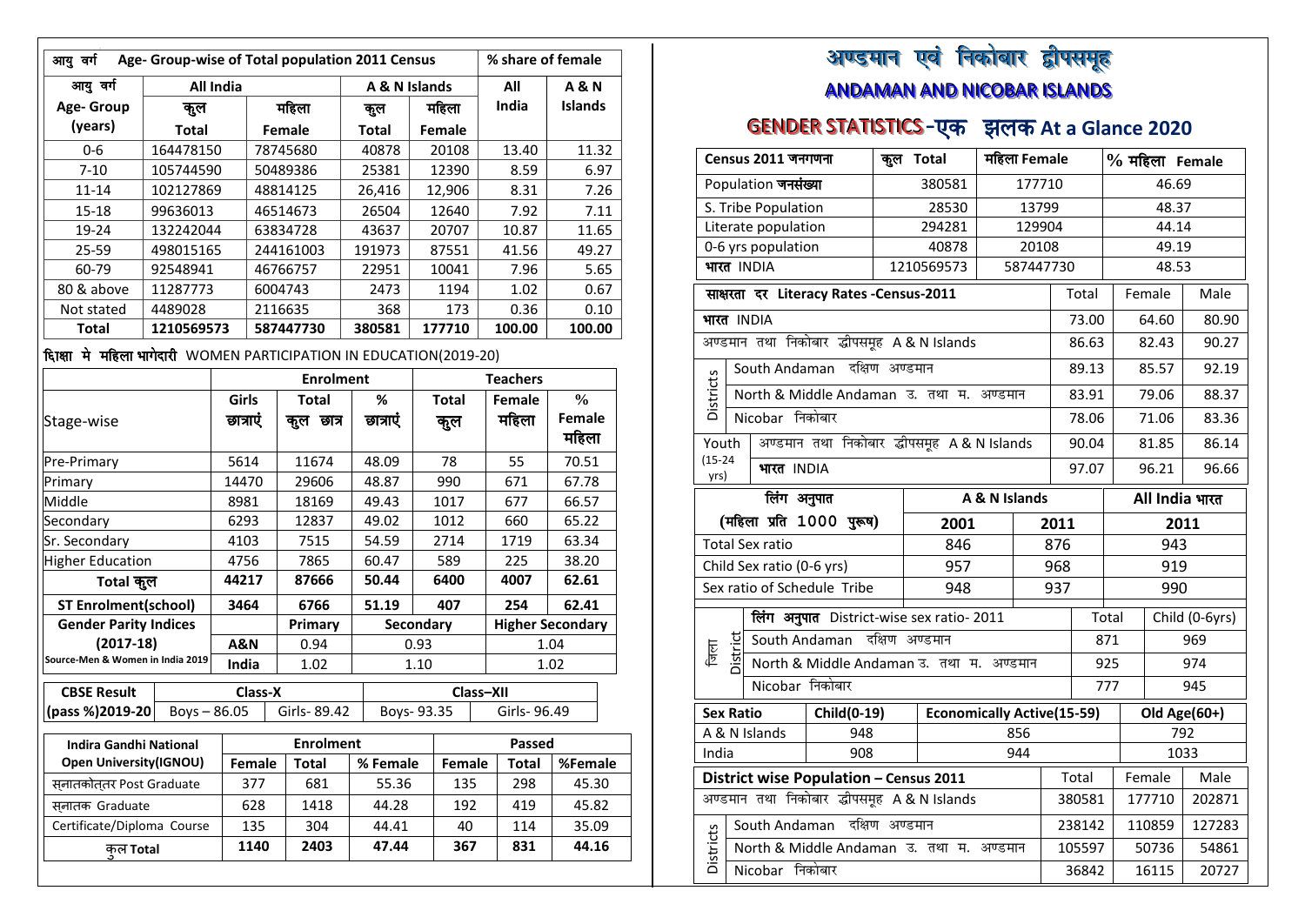| आयु वर्ग                                                             | Age- Group-wise of Total population 2011 Census<br>% share of female |             |  |                  |  |                |      |              |                 |                         |
|----------------------------------------------------------------------|----------------------------------------------------------------------|-------------|--|------------------|--|----------------|------|--------------|-----------------|-------------------------|
| आयु वर्ग                                                             | <b>All India</b>                                                     |             |  |                  |  | A & N Islands  |      |              | All             | <b>A&amp;N</b>          |
| Age- Group                                                           | कूल                                                                  |             |  | महिला            |  | कुल            |      | महिला        | India           | Islands                 |
| (years)                                                              | <b>Total</b>                                                         |             |  | Female           |  | <b>Total</b>   |      | Female       |                 |                         |
| 0-6                                                                  | 164478150                                                            |             |  | 78745680         |  | 40878          |      | 20108        | 13.40           | 11.32                   |
| $7 - 10$                                                             | 105744590                                                            |             |  | 50489386         |  | 25381          |      | 12390        | 8.59            | 6.97                    |
| $11 - 14$                                                            | 102127869                                                            |             |  | 48814125         |  | 26,416         |      | 12,906       | 8.31            | 7.26                    |
| $15 - 18$                                                            | 99636013                                                             |             |  | 46514673         |  | 26504          |      | 12640        | 7.92            | 7.11                    |
| 19-24                                                                | 132242044                                                            |             |  | 63834728         |  | 43637          |      | 20707        | 10.87           | 11.65                   |
| 25-59                                                                | 498015165                                                            |             |  | 244161003        |  | 191973         |      | 87551        | 41.56           | 49.27                   |
| 60-79                                                                | 92548941                                                             |             |  | 46766757         |  | 22951          |      | 10041        | 7.96            | 5.65                    |
| 80 & above                                                           | 11287773                                                             |             |  | 6004743          |  | 2473           |      | 1194         | 1.02            | 0.67                    |
| Not stated                                                           | 4489028                                                              |             |  | 2116635          |  | 368            |      | 173          | 0.36            | 0.10                    |
| <b>Total</b>                                                         | 1210569573                                                           |             |  | 587447730        |  | 380581         |      | 177710       | 100.00          | 100.00                  |
| दिग्क्षा मे महिला भागेदारी WOMEN PARTICIPATION IN EDUCATION(2019-20) |                                                                      |             |  |                  |  |                |      |              |                 |                         |
|                                                                      |                                                                      |             |  | <b>Enrolment</b> |  |                |      |              | <b>Teachers</b> |                         |
|                                                                      |                                                                      | Girls       |  | <b>Total</b>     |  | %              |      | <b>Total</b> | Female          | $\frac{0}{0}$           |
| Stage-wise                                                           |                                                                      | छात्राएं    |  | कुल छात्र        |  | छात्राएं       |      | कुल          | महिला           | Female<br>महिला         |
| Pre-Primary                                                          |                                                                      | 5614        |  | 11674            |  | 48.09          |      | 78           | 55              | 70.51                   |
| Primary                                                              |                                                                      | 14470       |  | 29606            |  | 48.87          |      | 990          | 671             | 67.78                   |
| Middle                                                               |                                                                      | 8981        |  | 18169            |  | 49.43          |      | 1017         | 677             | 66.57                   |
| Secondary                                                            |                                                                      | 6293        |  | 12837            |  | 49.02          |      | 1012         | 660             | 65.22                   |
| Sr. Secondary                                                        |                                                                      | 4103        |  | 7515             |  | 54.59          |      | 2714         | 1719            | 63.34                   |
| <b>Higher Education</b>                                              |                                                                      | 4756        |  | 7865             |  | 60.47          | 589  |              | 225             | 38.20                   |
| Total कुल                                                            |                                                                      | 44217       |  | 87666            |  | 50.44          | 6400 |              | 4007            | 62.61                   |
| <b>ST Enrolment(school)</b>                                          |                                                                      | 3464        |  | 6766             |  | 51.19          |      | 407          | 254             | 62.41                   |
| <b>Gender Parity Indices</b>                                         |                                                                      |             |  | Primary          |  | Secondary      |      |              |                 | <b>Higher Secondary</b> |
| $(2017-18)$                                                          |                                                                      | A&N         |  | 0.94             |  |                | 0.93 |              | 1.04            |                         |
| Source-Men & Women in India 2019                                     |                                                                      | India       |  | 1.02             |  |                | 1.10 |              |                 | 1.02                    |
| <b>CBSE Result</b>                                                   |                                                                      | Class-X     |  |                  |  |                |      | Class-XII    |                 |                         |
| (pass %)2019-20                                                      | $Boys - 86.05$                                                       |             |  | Girls-89.42      |  | Boys- 93.35    |      |              | Girls- 96.49    |                         |
|                                                                      |                                                                      |             |  |                  |  |                |      |              |                 |                         |
| <b>Indira Gandhi National</b>                                        |                                                                      |             |  | <b>Enrolment</b> |  |                |      |              | <b>Passed</b>   |                         |
| <b>Open University (IGNOU)</b>                                       |                                                                      | Female      |  | <b>Total</b>     |  | % Female       |      | Female       | Total           | %Female<br>45.30        |
| सनातकोततर Post Graduate                                              |                                                                      | 377<br>628  |  | 681<br>1418      |  | 55.36<br>44.28 |      | 135<br>192   | 298<br>419      | 45.82                   |
| सनातक Graduate<br>Certificate/Diploma Course                         |                                                                      |             |  |                  |  |                |      |              |                 |                         |
|                                                                      |                                                                      | 135<br>1140 |  | 304<br>2403      |  | 44.41<br>47.44 |      | 40<br>367    | 114<br>831      | 35.09<br>44.16          |
| कल Total                                                             |                                                                      |             |  |                  |  |                |      |              |                 |                         |
|                                                                      |                                                                      |             |  |                  |  |                |      |              |                 |                         |

## अण्डमान एवं निकोबार द्वौपसमूह a s i<br>Sidang panganan di kacamatan di kacamatan di kacamatan di kacamatan di kacamatan di kacamatan di kacamatan di<br>Kacamatan di kacamatan di kacamatan di kacamatan di kacamatan di kacamatan di kacamatan di kacamatan di kacama w ANDAMAN AND NICOBAR ISLANDS

## **GENDER STATISTICS-एक झलक At a Glance 2020**

|                                          |                                  | Census 2011 जनगणना        |                                           |                | महिला Female<br>कूल Total<br>% महिला Female |                |              |                  |                         |        |        |     |              |
|------------------------------------------|----------------------------------|---------------------------|-------------------------------------------|----------------|---------------------------------------------|----------------|--------------|------------------|-------------------------|--------|--------|-----|--------------|
|                                          |                                  | Population जनसंख्या       |                                           |                | 380581<br>177710<br>46.69                   |                |              |                  |                         |        |        |     |              |
|                                          |                                  | S. Tribe Population       |                                           |                | 28530                                       |                | 13799        |                  |                         |        | 48.37  |     |              |
|                                          |                                  | Literate population       |                                           |                | 294281                                      |                | 129904       |                  |                         |        | 44.14  |     |              |
|                                          |                                  | 0-6 yrs population        |                                           |                | 40878                                       |                | 20108        |                  |                         |        | 49.19  |     |              |
|                                          |                                  | भारत INDIA                |                                           |                | 1210569573                                  |                | 587447730    |                  |                         |        | 48.53  |     |              |
|                                          |                                  |                           | साक्षरता दर Literacy Rates - Census-2011  |                |                                             |                |              |                  | Total                   |        | Female |     | Male         |
|                                          |                                  | भारत INDIA                |                                           |                |                                             |                |              |                  | 73.00                   |        | 64.60  |     | 80.90        |
|                                          |                                  |                           | अण्डमान तथा निकोबार द्धीपसमूह A&N Islands |                |                                             |                |              |                  | 86.63                   |        | 82.43  |     | 90.27        |
|                                          |                                  |                           | South Andaman दक्षिण अण्डमान              |                |                                             |                |              |                  | 89.13                   |        | 85.57  |     | 92.19        |
| <b>Districts</b>                         |                                  |                           | North & Middle Andaman उ. तथा म. अण्डमान  |                |                                             |                |              |                  | 83.91                   |        | 79.06  |     | 88.37        |
|                                          |                                  | Nicobar निकोबार           |                                           |                |                                             |                |              |                  | 78.06                   |        | 71.06  |     | 83.36        |
| Youth                                    |                                  |                           | अण्डमान तथा निकोबार द्धीपसमूह A&N Islands |                |                                             |                |              |                  | 90.04                   |        | 81.85  |     | 86.14        |
| $(15 - 24)$<br>yrs)                      |                                  |                           | भारत INDIA<br>96.21<br>97.07              |                |                                             |                | 96.66        |                  |                         |        |        |     |              |
| लिंग अनुपात<br>A & N Islands             |                                  |                           |                                           |                |                                             | All India भारत |              |                  |                         |        |        |     |              |
|                                          | (महिला प्रति 1000 पुरूष)<br>2001 |                           |                                           |                |                                             |                | 2011<br>2011 |                  |                         |        |        |     |              |
|                                          |                                  | <b>Total Sex ratio</b>    |                                           |                | 846                                         |                |              | 876              | 943                     |        |        |     |              |
|                                          |                                  | Child Sex ratio (0-6 yrs) |                                           |                | 957                                         |                |              | 968              | 919                     |        |        |     |              |
|                                          |                                  |                           | Sex ratio of Schedule Tribe               |                | 948                                         |                |              | 937              | 990                     |        |        |     |              |
|                                          |                                  |                           | लिंग अनुपात District-wise sex ratio- 2011 |                |                                             |                |              |                  | Child (0-6yrs)<br>Total |        |        |     |              |
| जाला<br>ज                                | District                         | South Andaman             |                                           | दक्षिण अण्डमान |                                             |                |              |                  |                         | 871    |        |     | 969          |
|                                          |                                  |                           | North & Middle Andaman उ. तथा म. अण्डमान  |                |                                             |                |              |                  |                         | 925    |        |     | 974          |
|                                          |                                  | Nicobar निकोबार           |                                           |                |                                             |                |              |                  |                         | 777    |        |     | 945          |
|                                          | <b>Sex Ratio</b>                 |                           | Child(0-19)                               |                | <b>Economically Active(15-59)</b>           |                |              |                  |                         |        |        |     | Old Age(60+) |
|                                          |                                  | A & N Islands             | 948                                       |                | 856                                         |                |              |                  |                         |        |        | 792 |              |
| India                                    |                                  |                           | 908                                       |                | 944                                         |                |              |                  |                         |        | 1033   |     |              |
| District wise Population - Census 2011   |                                  |                           |                                           |                | Total                                       |                |              | Female           |                         | Male   |        |     |              |
| अण्डमान तथा निकोबार द्धीपसमूह A&NIslands |                                  |                           |                                           |                | 380581                                      |                |              | 177710           |                         | 202871 |        |     |              |
|                                          |                                  | South Andaman             |                                           | दक्षिण अण्डमान |                                             |                |              | 238142<br>110859 |                         |        | 127283 |     |              |
| <b>Districts</b>                         |                                  |                           | North & Middle Andaman उ. तथा म. अण्डमान  |                |                                             |                |              | 105597<br>50736  |                         | 54861  |        |     |              |
|                                          |                                  | Nicobar निकोबार           |                                           |                |                                             |                |              |                  | 36842                   |        | 16115  |     | 20727        |